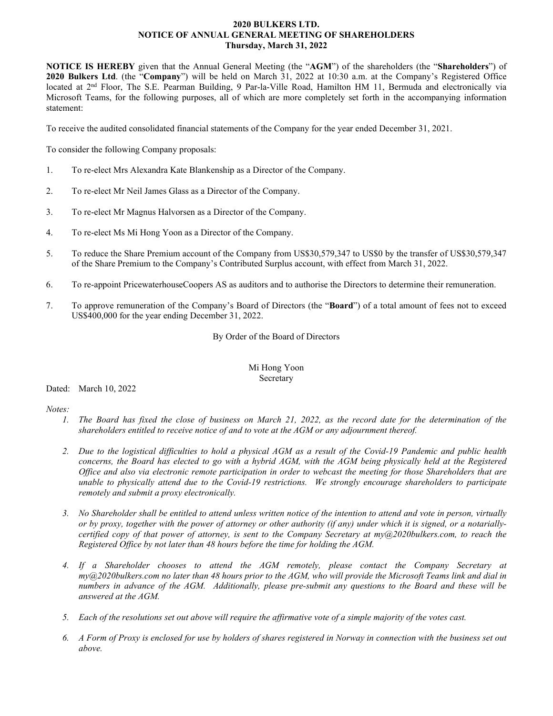# **2020 BULKERS LTD. NOTICE OF ANNUAL GENERAL MEETING OF SHAREHOLDERS Thursday, March 31, 2022**

**NOTICE IS HEREBY** given that the Annual General Meeting (the "**AGM**") of the shareholders (the "**Shareholders**") of **2020 Bulkers Ltd**. (the "**Company**") will be held on March 31, 2022 at 10:30 a.m. at the Company's Registered Office located at 2<sup>nd</sup> Floor, The S.E. Pearman Building, 9 Par-la-Ville Road, Hamilton HM 11, Bermuda and electronically via Microsoft Teams, for the following purposes, all of which are more completely set forth in the accompanying information statement:

To receive the audited consolidated financial statements of the Company for the year ended December 31, 2021.

To consider the following Company proposals:

- 1. To re-elect Mrs Alexandra Kate Blankenship as a Director of the Company.
- 2. To re-elect Mr Neil James Glass as a Director of the Company.
- 3. To re-elect Mr Magnus Halvorsen as a Director of the Company.
- 4. To re-elect Ms Mi Hong Yoon as a Director of the Company.
- 5. To reduce the Share Premium account of the Company from US\$30,579,347 to US\$0 by the transfer of US\$30,579,347 of the Share Premium to the Company's Contributed Surplus account, with effect from March 31, 2022.
- 6. To re-appoint PricewaterhouseCoopers AS as auditors and to authorise the Directors to determine their remuneration.
- 7. To approve remuneration of the Company's Board of Directors (the "**Board**") of a total amount of fees not to exceed US\$400,000 for the year ending December 31, 2022.

By Order of the Board of Directors

## Mi Hong Yoon Secretary

# Dated: March 10, 2022

*Notes:*

- *1. The Board has fixed the close of business on March 21, 2022, as the record date for the determination of the shareholders entitled to receive notice of and to vote at the AGM or any adjournment thereof.*
- *2. Due to the logistical difficulties to hold a physical AGM as a result of the Covid-19 Pandemic and public health concerns, the Board has elected to go with a hybrid AGM, with the AGM being physically held at the Registered Office and also via electronic remote participation in order to webcast the meeting for those Shareholders that are unable to physically attend due to the Covid-19 restrictions. We strongly encourage shareholders to participate remotely and submit a proxy electronically.*
- *3. No Shareholder shall be entitled to attend unless written notice of the intention to attend and vote in person, virtually or by proxy, together with the power of attorney or other authority (if any) under which it is signed, or a notariallycertified copy of that power of attorney, is sent to the Company Secretary at my@2020bulkers.com, to reach the Registered Office by not later than 48 hours before the time for holding the AGM.*
- *4. If a Shareholder chooses to attend the AGM remotely, please contact the Company Secretary at my@2020bulkers.com no later than 48 hours prior to the AGM, who will provide the Microsoft Teams link and dial in numbers in advance of the AGM. Additionally, please pre-submit any questions to the Board and these will be answered at the AGM.*
- *5. Each of the resolutions set out above will require the affirmative vote of a simple majority of the votes cast.*
- *6. A Form of Proxy is enclosed for use by holders of shares registered in Norway in connection with the business set out above.*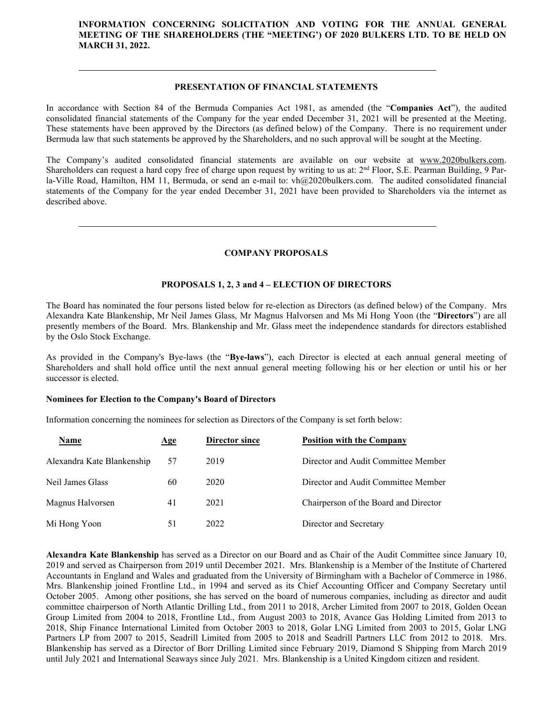# **INFORMATION CONCERNING SOLICITATION AND VOTING FOR THE ANNUAL GENERAL MEETING OF THE SHAREHOLDERS (THE "MEETING') OF 2020 BULKERS LTD. TO BE HELD ON MARCH 31, 2022.**

## **PRESENTATION OF FINANCIAL STATEMENTS**

In accordance with Section 84 of the Bermuda Companies Act 1981, as amended (the "**Companies Act**"), the audited consolidated financial statements of the Company for the year ended December 31, 2021 will be presented at the Meeting. These statements have been approved by the Directors (as defined below) of the Company. There is no requirement under Bermuda law that such statements be approved by the Shareholders, and no such approval will be sought at the Meeting.

The Company's audited consolidated financial statements are available on our website at [www.2020bulkers.com.](http://www.2020bulkers.com/) Shareholders can request a hard copy free of charge upon request by writing to us at:  $2<sup>nd</sup>$  Floor, S.E. Pearman Building, 9 Parla-Ville Road, Hamilton, HM 11, Bermuda, or send an e-mail to: vh@2020bulkers.com. The audited consolidated financial statements of the Company for the year ended December 31, 2021 have been provided to Shareholders via the internet as described above.

## **COMPANY PROPOSALS**

### **PROPOSALS 1, 2, 3 and 4 – ELECTION OF DIRECTORS**

The Board has nominated the four persons listed below for re-election as Directors (as defined below) of the Company. Mrs Alexandra Kate Blankenship, Mr Neil James Glass, Mr Magnus Halvorsen and Ms Mi Hong Yoon (the "**Directors**") are all presently members of the Board. Mrs. Blankenship and Mr. Glass meet the independence standards for directors established by the Oslo Stock Exchange.

As provided in the Company's Bye-laws (the "**Bye-laws**"), each Director is elected at each annual general meeting of Shareholders and shall hold office until the next annual general meeting following his or her election or until his or her successor is elected.

#### **Nominees for Election to the Company's Board of Directors**

Information concerning the nominees for selection as Directors of the Company is set forth below:

| Name                       | Age | Director since | <b>Position with the Company</b>      |  |
|----------------------------|-----|----------------|---------------------------------------|--|
| Alexandra Kate Blankenship | 57  | 2019           | Director and Audit Committee Member   |  |
| Neil James Glass           | 60  | 2020           | Director and Audit Committee Member   |  |
| Magnus Halvorsen           | 41  | 2021           | Chairperson of the Board and Director |  |
| Mi Hong Yoon               | 51  | 2022           | Director and Secretary                |  |

**Alexandra Kate Blankenship** has served as a Director on our Board and as Chair of the Audit Committee since January 10, 2019 and served as Chairperson from 2019 until December 2021. Mrs. Blankenship is a Member of the Institute of Chartered Accountants in England and Wales and graduated from the University of Birmingham with a Bachelor of Commerce in 1986. Mrs. Blankenship joined Frontline Ltd., in 1994 and served as its Chief Accounting Officer and Company Secretary until October 2005. Among other positions, she has served on the board of numerous companies, including as director and audit committee chairperson of North Atlantic Drilling Ltd., from 2011 to 2018, Archer Limited from 2007 to 2018, Golden Ocean Group Limited from 2004 to 2018, Frontline Ltd., from August 2003 to 2018, Avance Gas Holding Limited from 2013 to 2018, Ship Finance International Limited from October 2003 to 2018, Golar LNG Limited from 2003 to 2015, Golar LNG Partners LP from 2007 to 2015, Seadrill Limited from 2005 to 2018 and Seadrill Partners LLC from 2012 to 2018. Mrs. Blankenship has served as a Director of Borr Drilling Limited since February 2019, Diamond S Shipping from March 2019 until July 2021 and International Seaways since July 2021. Mrs. Blankenship is a United Kingdom citizen and resident.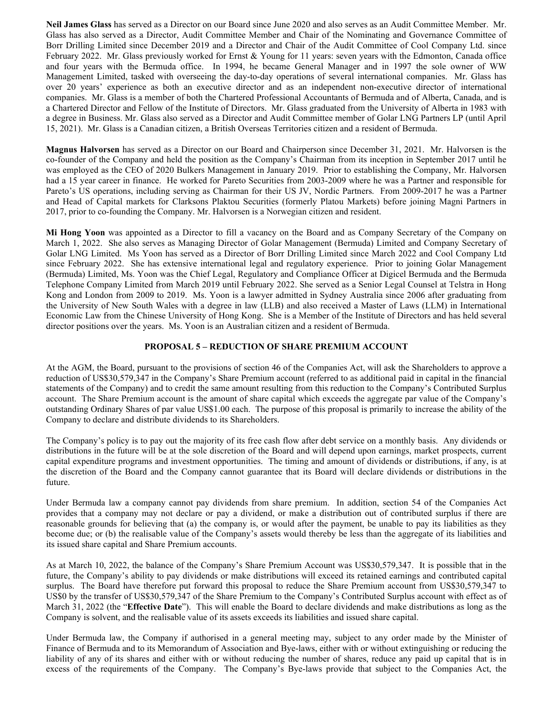**Neil James Glass** has served as a Director on our Board since June 2020 and also serves as an Audit Committee Member. Mr. Glass has also served as a Director, Audit Committee Member and Chair of the Nominating and Governance Committee of Borr Drilling Limited since December 2019 and a Director and Chair of the Audit Committee of Cool Company Ltd. since February 2022. Mr. Glass previously worked for Ernst & Young for 11 years: seven years with the Edmonton, Canada office and four years with the Bermuda office. In 1994, he became General Manager and in 1997 the sole owner of WW Management Limited, tasked with overseeing the day-to-day operations of several international companies. Mr. Glass has over 20 years' experience as both an executive director and as an independent non-executive director of international companies. Mr. Glass is a member of both the Chartered Professional Accountants of Bermuda and of Alberta, Canada, and is a Chartered Director and Fellow of the Institute of Directors. Mr. Glass graduated from the University of Alberta in 1983 with a degree in Business. Mr. Glass also served as a Director and Audit Committee member of Golar LNG Partners LP (until April 15, 2021). Mr. Glass is a Canadian citizen, a British Overseas Territories citizen and a resident of Bermuda.

**Magnus Halvorsen** has served as a Director on our Board and Chairperson since December 31, 2021. Mr. Halvorsen is the co-founder of the Company and held the position as the Company's Chairman from its inception in September 2017 until he was employed as the CEO of 2020 Bulkers Management in January 2019. Prior to establishing the Company, Mr. Halvorsen had a 15 year career in finance. He worked for Pareto Securities from 2003-2009 where he was a Partner and responsible for Pareto's US operations, including serving as Chairman for their US JV, Nordic Partners. From 2009-2017 he was a Partner and Head of Capital markets for Clarksons Plaktou Securities (formerly Platou Markets) before joining Magni Partners in 2017, prior to co-founding the Company. Mr. Halvorsen is a Norwegian citizen and resident.

**Mi Hong Yoon** was appointed as a Director to fill a vacancy on the Board and as Company Secretary of the Company on March 1, 2022. She also serves as Managing Director of Golar Management (Bermuda) Limited and Company Secretary of Golar LNG Limited. Ms Yoon has served as a Director of Borr Drilling Limited since March 2022 and Cool Company Ltd since February 2022. She has extensive international legal and regulatory experience. Prior to joining Golar Management (Bermuda) Limited, Ms. Yoon was the Chief Legal, Regulatory and Compliance Officer at Digicel Bermuda and the Bermuda Telephone Company Limited from March 2019 until February 2022. She served as a Senior Legal Counsel at Telstra in Hong Kong and London from 2009 to 2019. Ms. Yoon is a lawyer admitted in Sydney Australia since 2006 after graduating from the University of New South Wales with a degree in law (LLB) and also received a Master of Laws (LLM) in International Economic Law from the Chinese University of Hong Kong. She is a Member of the Institute of Directors and has held several director positions over the years. Ms. Yoon is an Australian citizen and a resident of Bermuda.

## **PROPOSAL 5 – REDUCTION OF SHARE PREMIUM ACCOUNT**

At the AGM, the Board, pursuant to the provisions of section 46 of the Companies Act, will ask the Shareholders to approve a reduction of US\$30,579,347 in the Company's Share Premium account (referred to as additional paid in capital in the financial statements of the Company) and to credit the same amount resulting from this reduction to the Company's Contributed Surplus account. The Share Premium account is the amount of share capital which exceeds the aggregate par value of the Company's outstanding Ordinary Shares of par value US\$1.00 each. The purpose of this proposal is primarily to increase the ability of the Company to declare and distribute dividends to its Shareholders.

The Company's policy is to pay out the majority of its free cash flow after debt service on a monthly basis. Any dividends or distributions in the future will be at the sole discretion of the Board and will depend upon earnings, market prospects, current capital expenditure programs and investment opportunities. The timing and amount of dividends or distributions, if any, is at the discretion of the Board and the Company cannot guarantee that its Board will declare dividends or distributions in the future.

Under Bermuda law a company cannot pay dividends from share premium. In addition, section 54 of the Companies Act provides that a company may not declare or pay a dividend, or make a distribution out of contributed surplus if there are reasonable grounds for believing that (a) the company is, or would after the payment, be unable to pay its liabilities as they become due; or (b) the realisable value of the Company's assets would thereby be less than the aggregate of its liabilities and its issued share capital and Share Premium accounts.

As at March 10, 2022, the balance of the Company's Share Premium Account was US\$30,579,347. It is possible that in the future, the Company's ability to pay dividends or make distributions will exceed its retained earnings and contributed capital surplus. The Board have therefore put forward this proposal to reduce the Share Premium account from US\$30,579,347 to US\$0 by the transfer of US\$30,579,347 of the Share Premium to the Company's Contributed Surplus account with effect as of March 31, 2022 (the "**Effective Date**"). This will enable the Board to declare dividends and make distributions as long as the Company is solvent, and the realisable value of its assets exceeds its liabilities and issued share capital.

Under Bermuda law, the Company if authorised in a general meeting may, subject to any order made by the Minister of Finance of Bermuda and to its Memorandum of Association and Bye-laws, either with or without extinguishing or reducing the liability of any of its shares and either with or without reducing the number of shares, reduce any paid up capital that is in excess of the requirements of the Company. The Company's Bye-laws provide that subject to the Companies Act, the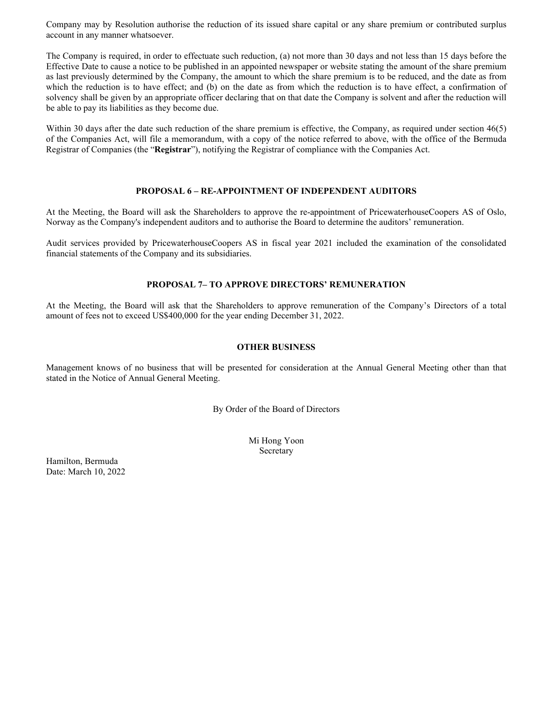Company may by Resolution authorise the reduction of its issued share capital or any share premium or contributed surplus account in any manner whatsoever.

The Company is required, in order to effectuate such reduction, (a) not more than 30 days and not less than 15 days before the Effective Date to cause a notice to be published in an appointed newspaper or website stating the amount of the share premium as last previously determined by the Company, the amount to which the share premium is to be reduced, and the date as from which the reduction is to have effect; and (b) on the date as from which the reduction is to have effect, a confirmation of solvency shall be given by an appropriate officer declaring that on that date the Company is solvent and after the reduction will be able to pay its liabilities as they become due.

Within 30 days after the date such reduction of the share premium is effective, the Company, as required under section 46(5) of the Companies Act, will file a memorandum, with a copy of the notice referred to above, with the office of the Bermuda Registrar of Companies (the "**Registrar**"), notifying the Registrar of compliance with the Companies Act.

## **PROPOSAL 6 – RE-APPOINTMENT OF INDEPENDENT AUDITORS**

At the Meeting, the Board will ask the Shareholders to approve the re-appointment of PricewaterhouseCoopers AS of Oslo, Norway as the Company's independent auditors and to authorise the Board to determine the auditors' remuneration.

Audit services provided by PricewaterhouseCoopers AS in fiscal year 2021 included the examination of the consolidated financial statements of the Company and its subsidiaries.

## **PROPOSAL 7– TO APPROVE DIRECTORS' REMUNERATION**

At the Meeting, the Board will ask that the Shareholders to approve remuneration of the Company's Directors of a total amount of fees not to exceed US\$400,000 for the year ending December 31, 2022.

### **OTHER BUSINESS**

Management knows of no business that will be presented for consideration at the Annual General Meeting other than that stated in the Notice of Annual General Meeting.

By Order of the Board of Directors

Mi Hong Yoon Secretary

Hamilton, Bermuda Date: March 10, 2022